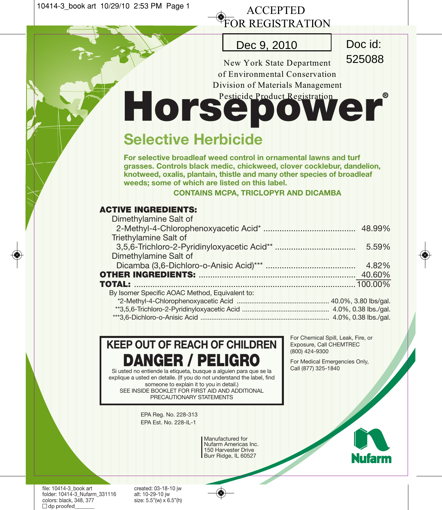10414-3\_book art 10/29/10 2:53 PM Page 1

## ACCEPTED FOR REGISTRATION

## Dec 9, 2010 Doc id:

525088

New York State Department of Environmental Conservation Division of Materials Management

# HorsepowerRegistration

# **Selective Herbicide**

**For selective broadleaf weed control in ornamental lawns and turf grasses. Controls black medic, chickweed, clover cocklebur, dandelion, knotweed, oxalis, plantain, thistle and many other species of broadleaf weeds; some of which are listed on this label.**

**CONTAINS MCPA, TRICLOPYR AND DICAMBA**

### **ACTIVE INGREDIENTS:**

| Dimethylamine Salt of                          |       |  |
|------------------------------------------------|-------|--|
|                                                |       |  |
| Triethylamine Salt of                          |       |  |
|                                                | 5.59% |  |
| Dimethylamine Salt of                          |       |  |
|                                                | 4.82% |  |
|                                                |       |  |
|                                                |       |  |
| By Isomer Specific AOAC Method, Equivalent to: |       |  |
|                                                |       |  |
|                                                |       |  |
|                                                |       |  |

# **KEEP OUT OF REACH OF CHILDREN DANGER / PELIGRO**

Si usted no entiende la etiqueta, busque a alguien para que se la explique a usted en detalle. (If you do not understand the label, find someone to explain it to you in detail.) SEE INSIDE BOOKLET FOR FIRST AID AND ADDITIONAL PRECAUTIONARY STATEMENTS

> EPA Reg. No. 228-313 EPA Est. No. 228-IL-1

> > Manufactured for Nufarm Americas Inc. 150 Harvester Drive Burr Ridge, IL 60527

For Chemical Spill, Leak, Fire, or Exposure, Call CHEMTREC (800) 424-9300

For Medical Emergencies Only, Call (877) 325-1840

Nufarm

file: 10414-3\_book art created: 03-18-10 jw<br>folder: 10414-3\_Nufarm\_331116 alt: 10-29-10 jw folder: 10414-3\_Nufarm\_331116<br>colors: black. 348, 377  $\Box$  dp proofed

size:  $5.5"$ (w)  $\times$   $6.5"$ (h)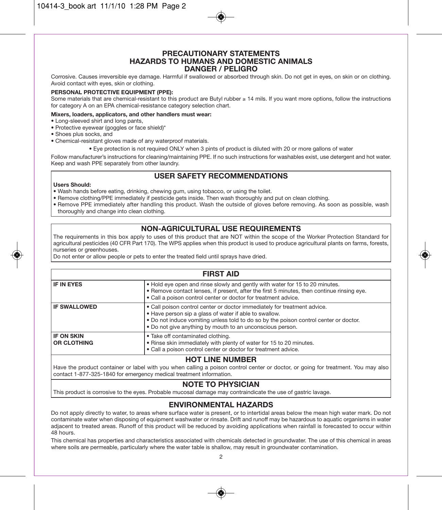#### **PRECAUTIONARY STATEMENTS HAZARDS TO HUMANS AND DOMESTIC ANIMALS DANGER / PELIGRO**

Corrosive. Causes irreversible eye damage. Harmful if swallowed or absorbed through skin. Do not get in eyes, on skin or on clothing. Avoid contact with eyes, skin or clothing.

#### **PERSONAL PROTECTIVE EQUIPMENT (PPE):**

Some materials that are chemical-resistant to this product are Butyl rubber ≥ 14 mils. If you want more options, follow the instructions for category A on an EPA chemical-resistance category selection chart.

#### **Mixers, loaders, applicators, and other handlers must wear:**

- Long-sleeved shirt and long pants,
- Protective eyewear (goggles or face shield)\*
- Shoes plus socks, and
- Chemical-resistant gloves made of any waterproof materials.
	- Eye protection is not required ONLY when 3 pints of product is diluted with 20 or more gallons of water

Follow manufacturer's instructions for cleaning/maintaining PPE. If no such instructions for washables exist, use detergent and hot water. Keep and wash PPE separately from other laundry.

#### **USER SAFETY RECOMMENDATIONS**

#### **Users Should:**

• Wash hands before eating, drinking, chewing gum, using tobacco, or using the toilet.

• Remove clothing/PPE immediately if pesticide gets inside. Then wash thoroughly and put on clean clothing.

• Remove PPE immediately after handling this product. Wash the outside of gloves before removing. As soon as possible, wash thoroughly and change into clean clothing.

#### **NON-AGRICULTURAL USE REQUIREMENTS**

The requirements in this box apply to uses of this product that are NOT within the scope of the Worker Protection Standard for agricultural pesticides (40 CFR Part 170). The WPS applies when this product is used to produce agricultural plants on farms, forests, nurseries or greenhouses.

Do not enter or allow people or pets to enter the treated field until sprays have dried.

#### **FIRST AID**

| <b>IF IN EYES</b>                       | . Hold eye open and rinse slowly and gently with water for 15 to 20 minutes.<br>. Remove contact lenses, if present, after the first 5 minutes, then continue rinsing eye.<br>• Call a poison control center or doctor for treatment advice.                                             |
|-----------------------------------------|------------------------------------------------------------------------------------------------------------------------------------------------------------------------------------------------------------------------------------------------------------------------------------------|
| <b>IF SWALLOWED</b>                     | • Call poison control center or doctor immediately for treatment advice.<br>• Have person sip a glass of water if able to swallow.<br>. Do not induce vomiting unless told to do so by the poison control center or doctor.<br>• Do not give anything by mouth to an unconscious person. |
| <b>IF ON SKIN</b><br><b>OR CLOTHING</b> | • Take off contaminated clothing.<br>. Rinse skin immediately with plenty of water for 15 to 20 minutes.<br>• Call a poison control center or doctor for treatment advice.                                                                                                               |
|                                         |                                                                                                                                                                                                                                                                                          |

#### **HOT LINE NUMBER**

Have the product container or label with you when calling a poison control center or doctor, or going for treatment. You may also contact 1-877-325-1840 for emergency medical treatment information.

#### **NOTE TO PHYSICIAN**

This product is corrosive to the eyes. Probable mucosal damage may contraindicate the use of gastric lavage.

#### **ENVIRONMENTAL HAZARDS**

Do not apply directly to water, to areas where surface water is present, or to intertidal areas below the mean high water mark. Do not contaminate water when disposing of equipment washwater or rinsate. Drift and runoff may be hazardous to aquatic organisms in water adjacent to treated areas. Runoff of this product will be reduced by avoiding applications when rainfall is forecasted to occur within 48 hours.

This chemical has properties and characteristics associated with chemicals detected in groundwater. The use of this chemical in areas where soils are permeable, particularly where the water table is shallow, may result in groundwater contamination.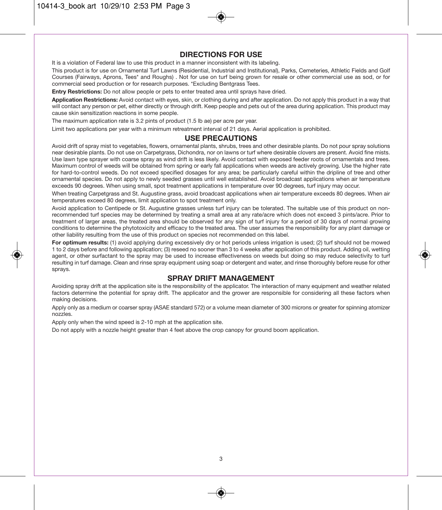#### **DIRECTIONS FOR USE**

It is a violation of Federal law to use this product in a manner inconsistent with its labeling.

This product is for use on Ornamental Turf Lawns (Residential, Industrial and Institutional), Parks, Cemeteries, Athletic Fields and Golf Courses (Fairways, Aprons, Tees\* and Roughs) . Not for use on turf being grown for resale or other commercial use as sod, or for commercial seed production or for research purposes. \*Excluding Bentgrass Tees.

**Entry Restrictions:** Do not allow people or pets to enter treated area until sprays have dried.

**Application Restrictions:** Avoid contact with eyes, skin, or clothing during and after application. Do not apply this product in a way that will contact any person or pet, either directly or through drift. Keep people and pets out of the area during application. This product may cause skin sensitization reactions in some people.

The maximum application rate is 3.2 pints of product (1.5 lb ae) per acre per year.

Limit two applications per year with a minimum retreatment interval of 21 days. Aerial application is prohibited.

#### **USE PRECAUTIONS**

Avoid drift of spray mist to vegetables, flowers, ornamental plants, shrubs, trees and other desirable plants. Do not pour spray solutions near desirable plants. Do not use on Carpetgrass, Dichondra, nor on lawns or turf where desirable clovers are present. Avoid fine mists. Use lawn type sprayer with coarse spray as wind drift is less likely. Avoid contact with exposed feeder roots of ornamentals and trees. Maximum control of weeds will be obtained from spring or early fall applications when weeds are actively growing. Use the higher rate for hard-to-control weeds. Do not exceed specified dosages for any area; be particularly careful within the dripline of tree and other ornamental species. Do not apply to newly seeded grasses until well established. Avoid broadcast applications when air temperature exceeds 90 degrees. When using small, spot treatment applications in temperature over 90 degrees, turf injury may occur.

When treating Carpetgrass and St. Augustine grass, avoid broadcast applications when air temperature exceeds 80 degrees. When air temperatures exceed 80 degrees, limit application to spot treatment only.

Avoid application to Centipede or St. Augustine grasses unless turf injury can be tolerated. The suitable use of this product on nonrecommended turf species may be determined by treating a small area at any rate/acre which does not exceed 3 pints/acre. Prior to treatment of larger areas, the treated area should be observed for any sign of turf injury for a period of 30 days of normal growing conditions to determine the phytotoxicity and efficacy to the treated area. The user assumes the responsibility for any plant damage or other liability resulting from the use of this product on species not recommended on this label.

**For optimum results:** (1) avoid applying during excessively dry or hot periods unless irrigation is used; (2) turf should not be mowed 1 to 2 days before and following application; (3) reseed no sooner than 3 to 4 weeks after application of this product. Adding oil, wetting agent, or other surfactant to the spray may be used to increase effectiveness on weeds but doing so may reduce selectivity to turf resulting in turf damage. Clean and rinse spray equipment using soap or detergent and water, and rinse thoroughly before reuse for other sprays.

#### **SPRAY DRIFT MANAGEMENT**

Avoiding spray drift at the application site is the responsibility of the applicator. The interaction of many equipment and weather related factors determine the potential for spray drift. The applicator and the grower are responsible for considering all these factors when making decisions.

Apply only as a medium or coarser spray (ASAE standard 572) or a volume mean diameter of 300 microns or greater for spinning atomizer nozzles.

Apply only when the wind speed is 2-10 mph at the application site.

Do not apply with a nozzle height greater than 4 feet above the crop canopy for ground boom application.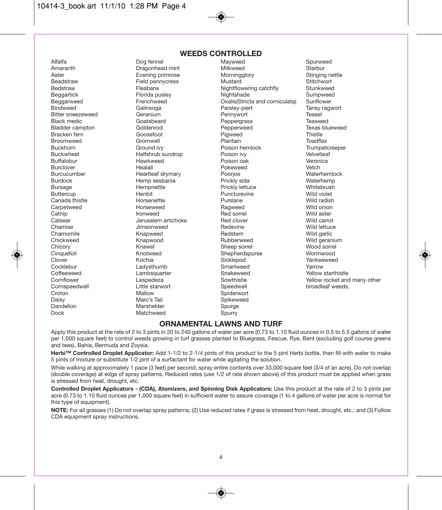#### 10414-3\_book art 11/1/10 1:28 PM Page 4

Canada thistle **Horsenettle**<br>Carnetweed **Horseweed** Cornspeedwell Little start Cornspeedwell Little start Speedwell broadleaf weeds. Little start Speedwell Speeds.

#### **WEEDS CONTROLLED**

Galinsoga Parsley-piert Croton Mallow Mallow Spiderwort<br>
Daisy Marc's Tail Spikeweed Daisy Marc's Tail Spikeweed Dandelion Marshelder Spurge Matchweed

Alfalfa Dog fennel Mayweed Spurweed Amaranth Dragonhead mint Milkweed Starbur Aster Evening primrose Morningglory Stinging nettle Field pennycress **Mustard** Mustard Stitchwort<br>Fleabane **Mustard Stitchwort Stitchwort** Bedstraw **Fleabane** Fleabane Nightflowering catchfly Beggartick Florida pusley Nightshade Sumpweed Beggarweed Frenchweed Cxalis(Stricta and corniculata) Sunflower<br>Bindweed Tansy ragwort Galinsoga Parsley-piert Tansy ragwort Bitter sneezeweed Geranium Correspondent Bennywort Teasel<br>Black medic Correspondent Correspondent Correspondent Pepperarass Teaweed Black medic **Example 2** Goatsbeard **Peppergrass Community Peppergrass** Teaweed Bladder campton Coldenrod Consumer Coldense Pepperweed Texas blueweed<br>Bracken fern Coosefoot Piqweed Piqweed Thistle Bracken fern Coosefoot Pigweed Pigweed Thistle<br>Broomweed Gromwell Plantain Poet Toadflax Broomweed Gromwell Plantain Toadflax Buckhorn Ground ivy Poison hemlock Trumpetcreeper Buckwheat Halfshrub sundrop Poison ivy Velvetleaf Buffalobur Hawkweed Poison oak Veronica Burclover Healall Pokeweed Vetch Burcucumber Heartleaf drymary Poorjoe Waterhemlock Burdock Hemp sesbania Prickly sida Waterhemp Bursage Hempnettle Prickly lettuce Whitebrush Buttercup Henbit Puncturevine Wild violet Carpetweed Horseweed Ragweed Wild onion Catnip **Ironweed Red sorrel Accompany** Catnic Wild aster Catsear Jerusalem artichoke Red clover Wild carrot Chamise **Glues Chamise** Jimsonweed **Redevine** Redevine **Redevine** Wild lettuce Chamomile Knapweed Redstem Wild garlic Chickweed Knapwood Rubberweed Wild geranium Chicory **Sheep source Sheep sorrel Sheep sorrel Sheep sorrel Sheep sonrel Sheep Solid Sheep Solid Sheep Solid S** Cinquefoil Knotweed Shepherdspurse Wormwood Clover Kochia Sicklepod Yankeeweed Cocklebur Ladysthumb Smartweed Yarrow Coffeeweed Lambsquarter Snakeweed Yellow starthistle Cornflower Lespedeza Sowthistle Yellow rocket and many other

#### **ORNAMENTAL LAWNS AND TURF**

Apply this product at the rate of 2 to 3 pints in 20 to 240 gallons of water per acre (0.73 to 1.10 fluid ounces in 0.5 to 5.5 gallons of water per 1,000 square feet) to control weeds growing in turf grasses planted to Bluegrass, Fescue, Rye, Bent (excluding golf course greens and tees), Bahia, Bermuda and Zoysia.

**Herbi™ Controlled Droplet Applicator:** Add 1-1/2 to 2-1/4 pints of this product to the 5 pint Herbi bottle, then fill with water to make 5 pints of mixture or substitute 1/2 pint of a surfactant for water while agitating the solution.

While walking at approximately 1 pace (3 feet) per second, spray entire contents over 33,000 square feet (3/4 of an acre). Do not overlap (double coverage) at edge of spray patterns. Reduced rates (use 1/2 of rate shown above) of this product must be applied when grass is stressed from heat, drought, etc.

**Controlled Droplet Applicators - (CDA), Atomizers, and Spinning Disk Applicators:** Use this product at the rate of 2 to 3 pints per acre (0.73 to 1.10 fluid ounces per 1,000 square feet) in sufficient water to assure coverage (1 to 4 gallons of water per acre is normal for this type of equipment).

**NOTE:** For all grasses (1) Do not overlap spray patterns; (2) Use reduced rates if grass is stressed from heat, drought, etc.; and (3) Follow CDA equipment spray instructions.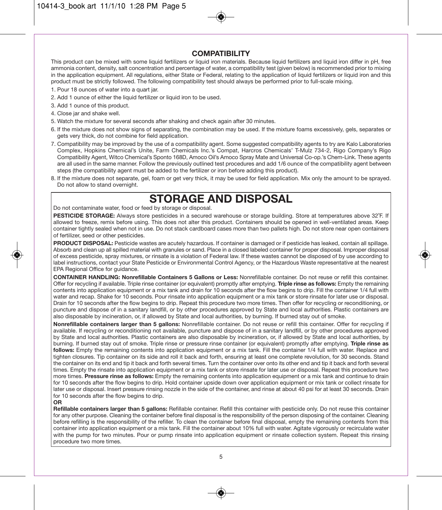#### **COMPATIBILITY**

This product can be mixed with some liquid fertilizers or liquid iron materials. Because liquid fertilizers and liquid iron differ in pH, free ammonia content, density, salt concentration and percentage of water, a compatibility test (given below) is recommended prior to mixing in the application equipment. All regulations, either State or Federal, relating to the application of liquid fertilizers or liquid iron and this product must be strictly followed. The following compatibility test should always be performed prior to full-scale mixing.

- 1. Pour 18 ounces of water into a quart jar.
- 2. Add 1 ounce of either the liquid fertilizer or liquid iron to be used.
- 3. Add 1 ounce of this product.
- 4. Close jar and shake well.
- 5. Watch the mixture for several seconds after shaking and check again after 30 minutes.
- 6. If the mixture does not show signs of separating, the combination may be used. If the mixture foams excessively, gels, separates or gets very thick, do not combine for field application.
- 7. Compatibility may be improved by the use of a compatibility agent. Some suggested compatibility agents to try are Kalo Laboratories Complex, Hopkins Chemical's Unite, Farm Chemicals Inc.'s Compat, Harcros Chemicals' T-Mulz 734-2, Rigo Company's Rigo Compatibility Agent, Witco Chemical's Sponto 168D, Amoco Oil's Amoco Spray Mate and Universal Co-op.'s Chem-Link. These agents are all used in the same manner. Follow the previously outlined test procedures and add 1/6 ounce of the compatibility agent between steps (the compatibility agent must be added to the fertilizer or iron before adding this product).
- 8. If the mixture does not separate, gel, foam or get very thick, it may be used for field application. Mix only the amount to be sprayed. Do not allow to stand overnight.

## **STORAGE AND DISPOSAL**

Do not contaminate water, food or feed by storage or disposal.

**PESTICIDE STORAGE:** Always store pesticides in a secured warehouse or storage building. Store at temperatures above 32˚F. If allowed to freeze, remix before using. This does not alter this product. Containers should be opened in well-ventilated areas. Keep container tightly sealed when not in use. Do not stack cardboard cases more than two pallets high. Do not store near open containers of fertilizer, seed or other pesticides.

**PRODUCT DISPOSAL:** Pesticide wastes are acutely hazardous. If container is damaged or if pesticide has leaked, contain all spillage. Absorb and clean up all spilled material with granules or sand. Place in a closed labeled container for proper disposal. Improper disposal of excess pesticide, spray mixtures, or rinsate is a violation of Federal law. If these wastes cannot be disposed of by use according to label instructions, contact your State Pesticide or Environmental Control Agency, or the Hazardous Waste representative at the nearest EPA Regional Office for guidance.

**CONTAINER HANDLING: Nonrefillable Containers 5 Gallons or Less:** Nonrefillable container. Do not reuse or refill this container. Offer for recycling if available. Triple rinse container (or equivalent) promptly after emptying. **Triple rinse as follows:** Empty the remaining contents into application equipment or a mix tank and drain for 10 seconds after the flow begins to drip. Fill the container 1/4 full with water and recap. Shake for 10 seconds. Pour rinsate into application equipment or a mix tank or store rinsate for later use or disposal. Drain for 10 seconds after the flow begins to drip. Repeat this procedure two more times. Then offer for recycling or reconditioning, or puncture and dispose of in a sanitary landfill, or by other procedures approved by State and local authorities. Plastic containers are also disposable by incineration, or, if allowed by State and local authorities, by burning. If burned stay out of smoke.

**Nonrefillable containers larger than 5 gallons:** Nonrefillable container. Do not reuse or refill this container. Offer for recycling if available. If recycling or reconditioning not available, puncture and dispose of in a sanitary landfill, or by other procedures approved by State and local authorities. Plastic containers are also disposable by incineration, or, if allowed by State and local authorities, by burning. If burned stay out of smoke. Triple rinse or pressure rinse container (or equivalent) promptly after emptying. **Triple rinse as follows:** Empty the remaining contents into application equipment or a mix tank. Fill the container 1/4 full with water. Replace and tighten closures. Tip container on its side and roll it back and forth, ensuring at least one complete revolution, for 30 seconds. Stand the container on its end and tip it back and forth several times. Turn the container over onto its other end and tip it back and forth several times. Empty the rinsate into application equipment or a mix tank or store rinsate for later use or disposal. Repeat this procedure two more times. **Pressure rinse as follows:** Empty the remaining contents into application equipment or a mix tank and continue to drain for 10 seconds after the flow begins to drip. Hold container upside down over application equipment or mix tank or collect rinsate for later use or disposal. Insert pressure rinsing nozzle in the side of the container, and rinse at about 40 psi for at least 30 seconds. Drain for 10 seconds after the flow begins to drip.

#### **OR**

**Refillable containers larger than 5 gallons:** Refillable container. Refill this container with pesticide only. Do not reuse this container for any other purpose. Cleaning the container before final disposal is the responsibility of the person disposing of the container. Cleaning before refilling is the responsibility of the refiller. To clean the container before final disposal, empty the remaining contents from this container into application equipment or a mix tank. Fill the container about 10% full with water. Agitate vigorously or recirculate water with the pump for two minutes. Pour or pump rinsate into application equipment or rinsate collection system. Repeat this rinsing procedure two more times.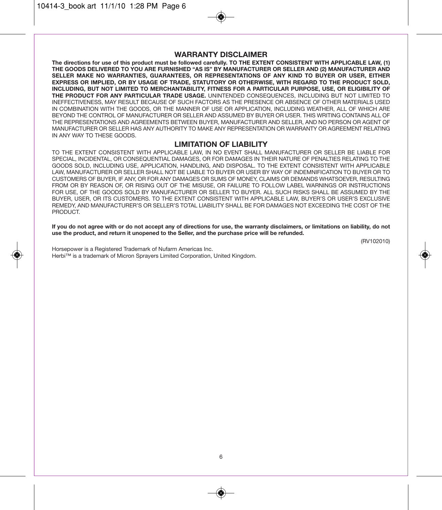#### **WARRANTY DISCLAIMER**

**The directions for use of this product must be followed carefully. TO THE EXTENT CONSISTENT WITH APPLICABLE LAW, (1) THE GOODS DELIVERED TO YOU ARE FURNISHED "AS IS" BY MANUFACTURER OR SELLER AND (2) MANUFACTURER AND SELLER MAKE NO WARRANTIES, GUARANTEES, OR REPRESENTATIONS OF ANY KIND TO BUYER OR USER, EITHER EXPRESS OR IMPLIED, OR BY USAGE OF TRADE, STATUTORY OR OTHERWISE, WITH REGARD TO THE PRODUCT SOLD, INCLUDING, BUT NOT LIMITED TO MERCHANTABILITY, FITNESS FOR A PARTICULAR PURPOSE, USE, OR ELIGIBILITY OF THE PRODUCT FOR ANY PARTICULAR TRADE USAGE.** UNINTENDED CONSEQUENCES, INCLUDING BUT NOT LIMITED TO INEFFECTIVENESS, MAY RESULT BECAUSE OF SUCH FACTORS AS THE PRESENCE OR ABSENCE OF OTHER MATERIALS USED IN COMBINATION WITH THE GOODS, OR THE MANNER OF USE OR APPLICATION, INCLUDING WEATHER, ALL OF WHICH ARE BEYOND THE CONTROL OF MANUFACTURER OR SELLER AND ASSUMED BY BUYER OR USER. THIS WRITING CONTAINS ALL OF THE REPRESENTATIONS AND AGREEMENTS BETWEEN BUYER, MANUFACTURER AND SELLER, AND NO PERSON OR AGENT OF MANUFACTURER OR SELLER HAS ANY AUTHORITY TO MAKE ANY REPRESENTATION OR WARRANTY OR AGREEMENT RELATING IN ANY WAY TO THESE GOODS.

#### **LIMITATION OF LIABILITY**

TO THE EXTENT CONSISTENT WITH APPLICABLE LAW, IN NO EVENT SHALL MANUFACTURER OR SELLER BE LIABLE FOR SPECIAL, INCIDENTAL, OR CONSEQUENTIAL DAMAGES, OR FOR DAMAGES IN THEIR NATURE OF PENALTIES RELATING TO THE GOODS SOLD, INCLUDING USE, APPLICATION, HANDLING, AND DISPOSAL. TO THE EXTENT CONSISTENT WITH APPLICABLE LAW, MANUFACTURER OR SELLER SHALL NOT BE LIABLE TO BUYER OR USER BY WAY OF INDEMNIFICATION TO BUYER OR TO CUSTOMERS OF BUYER, IF ANY, OR FOR ANY DAMAGES OR SUMS OF MONEY, CLAIMS OR DEMANDS WHATSOEVER, RESULTING FROM OR BY REASON OF, OR RISING OUT OF THE MISUSE, OR FAILURE TO FOLLOW LABEL WARNINGS OR INSTRUCTIONS FOR USE, OF THE GOODS SOLD BY MANUFACTURER OR SELLER TO BUYER. ALL SUCH RISKS SHALL BE ASSUMED BY THE BUYER, USER, OR ITS CUSTOMERS. TO THE EXTENT CONSISTENT WITH APPLICABLE LAW, BUYER'S OR USER'S EXCLUSIVE REMEDY, AND MANUFACTURER'S OR SELLER'S TOTAL LIABILITY SHALL BE FOR DAMAGES NOT EXCEEDING THE COST OF THE PRODUCT.

**If you do not agree with or do not accept any of directions for use, the warranty disclaimers, or limitations on liability, do not use the product, and return it unopened to the Seller, and the purchase price will be refunded.**

(RV102010)

Horsepower is a Registered Trademark of Nufarm Americas Inc. Herbi™ is a trademark of Micron Sprayers Limited Corporation, United Kingdom.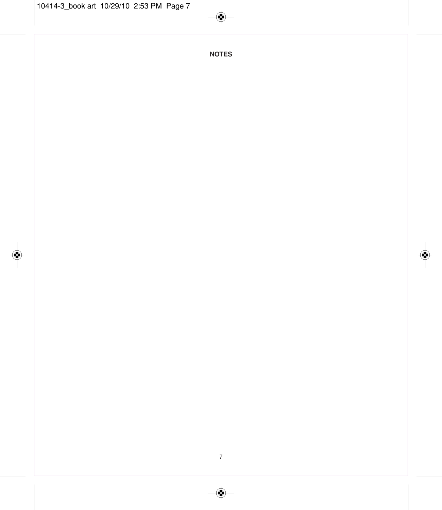$\circledast$ 

**NOTES**

◈

◈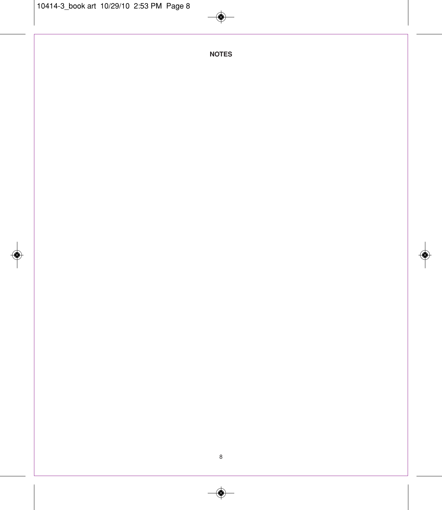$\circledast$ 

**NOTES**

◈

 $\bigcirc$